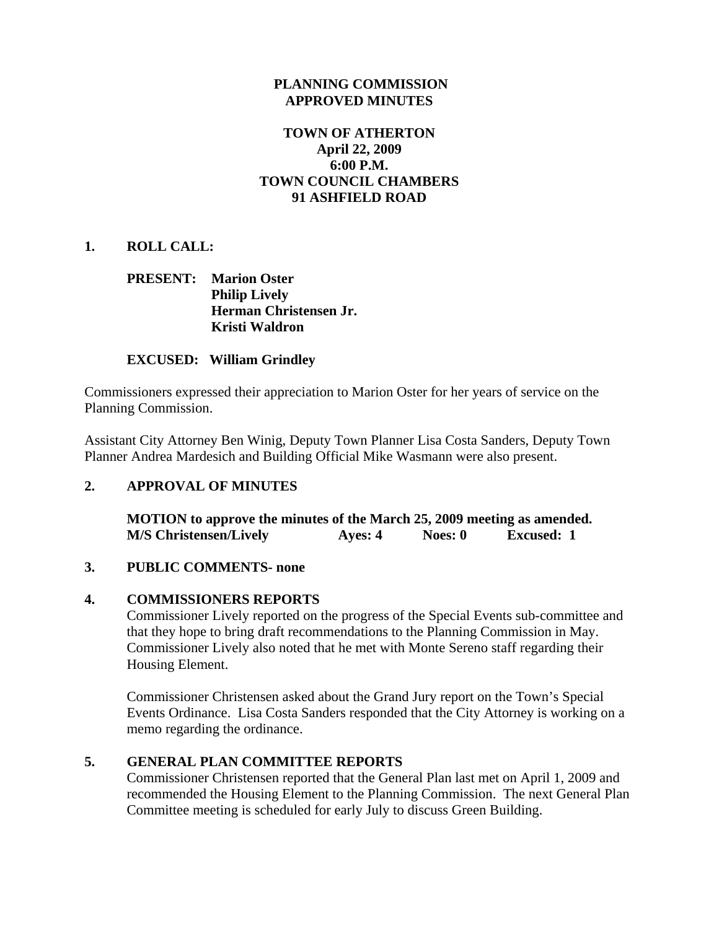### **PLANNING COMMISSION APPROVED MINUTES**

# **TOWN OF ATHERTON April 22, 2009 6:00 P.M. TOWN COUNCIL CHAMBERS 91 ASHFIELD ROAD**

### **1. ROLL CALL:**

# **PRESENT: Marion Oster Philip Lively Herman Christensen Jr. Kristi Waldron**

### **EXCUSED: William Grindley**

Commissioners expressed their appreciation to Marion Oster for her years of service on the Planning Commission.

Assistant City Attorney Ben Winig, Deputy Town Planner Lisa Costa Sanders, Deputy Town Planner Andrea Mardesich and Building Official Mike Wasmann were also present.

### **2. APPROVAL OF MINUTES**

 **MOTION to approve the minutes of the March 25, 2009 meeting as amended. M/S Christensen/Lively Ayes: 4 Noes: 0 Excused: 1** 

### **3. PUBLIC COMMENTS- none**

### **4. COMMISSIONERS REPORTS**

Commissioner Lively reported on the progress of the Special Events sub-committee and that they hope to bring draft recommendations to the Planning Commission in May. Commissioner Lively also noted that he met with Monte Sereno staff regarding their Housing Element.

Commissioner Christensen asked about the Grand Jury report on the Town's Special Events Ordinance. Lisa Costa Sanders responded that the City Attorney is working on a memo regarding the ordinance.

### **5. GENERAL PLAN COMMITTEE REPORTS**

Commissioner Christensen reported that the General Plan last met on April 1, 2009 and recommended the Housing Element to the Planning Commission. The next General Plan Committee meeting is scheduled for early July to discuss Green Building.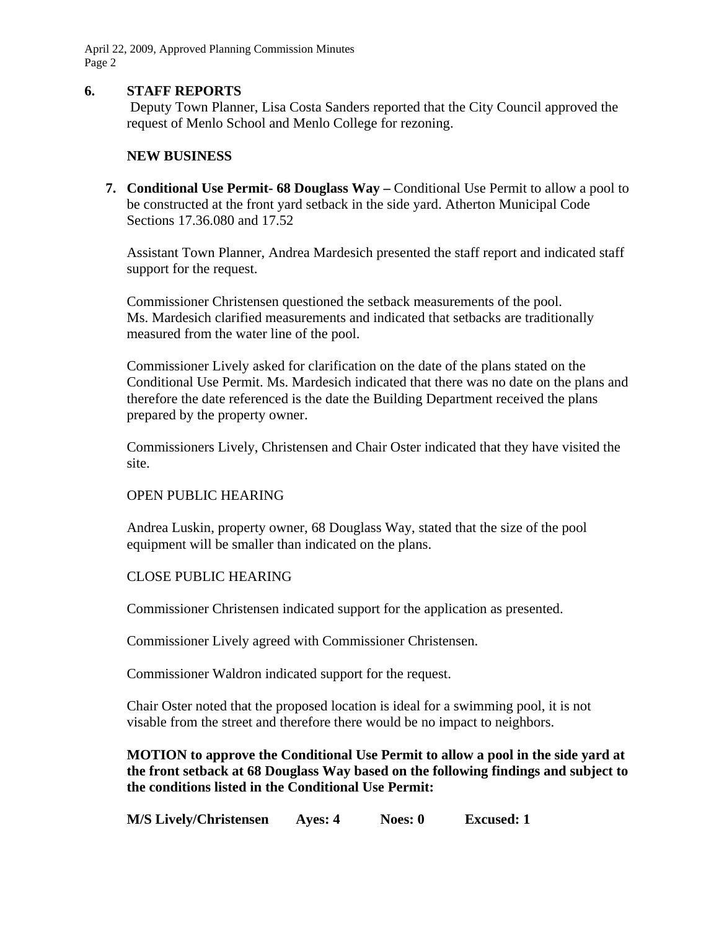April 22, 2009, Approved Planning Commission Minutes Page 2

### **6. STAFF REPORTS**

Deputy Town Planner, Lisa Costa Sanders reported that the City Council approved the request of Menlo School and Menlo College for rezoning.

### **NEW BUSINESS**

**7. Conditional Use Permit- 68 Douglass Way –** Conditional Use Permit to allow a pool to be constructed at the front yard setback in the side yard. Atherton Municipal Code Sections 17.36.080 and 17.52

Assistant Town Planner, Andrea Mardesich presented the staff report and indicated staff support for the request.

Commissioner Christensen questioned the setback measurements of the pool. Ms. Mardesich clarified measurements and indicated that setbacks are traditionally measured from the water line of the pool.

Commissioner Lively asked for clarification on the date of the plans stated on the Conditional Use Permit. Ms. Mardesich indicated that there was no date on the plans and therefore the date referenced is the date the Building Department received the plans prepared by the property owner.

Commissioners Lively, Christensen and Chair Oster indicated that they have visited the site.

### OPEN PUBLIC HEARING

Andrea Luskin, property owner, 68 Douglass Way, stated that the size of the pool equipment will be smaller than indicated on the plans.

### CLOSE PUBLIC HEARING

Commissioner Christensen indicated support for the application as presented.

Commissioner Lively agreed with Commissioner Christensen.

Commissioner Waldron indicated support for the request.

Chair Oster noted that the proposed location is ideal for a swimming pool, it is not visable from the street and therefore there would be no impact to neighbors.

**MOTION to approve the Conditional Use Permit to allow a pool in the side yard at the front setback at 68 Douglass Way based on the following findings and subject to the conditions listed in the Conditional Use Permit:** 

**M/S Lively/Christensen Ayes: 4 Noes: 0 Excused: 1**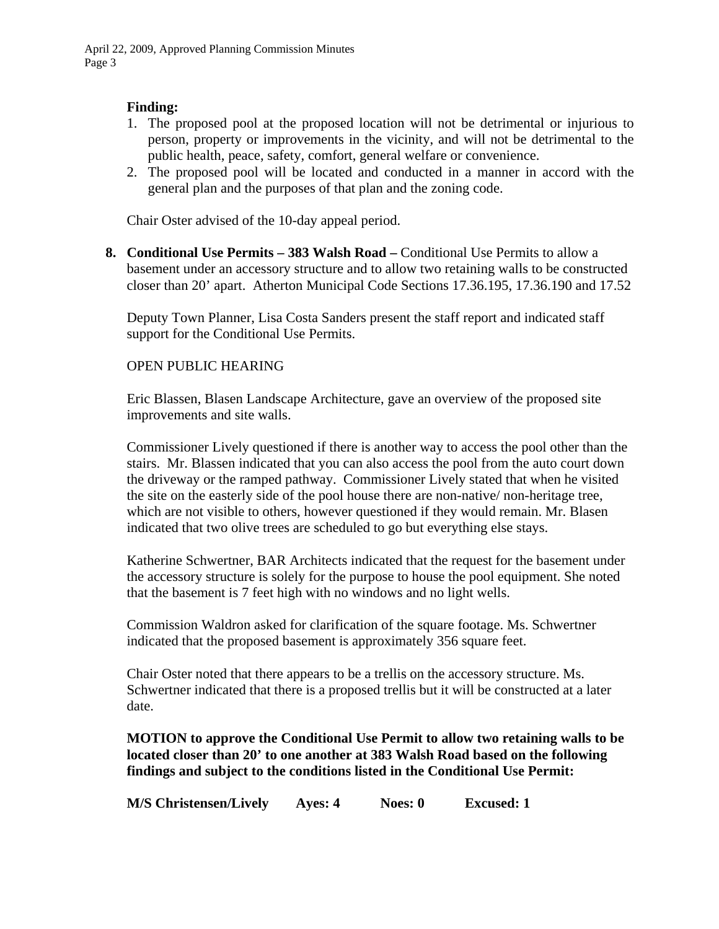# **Finding:**

- 1. The proposed pool at the proposed location will not be detrimental or injurious to person, property or improvements in the vicinity, and will not be detrimental to the public health, peace, safety, comfort, general welfare or convenience.
- 2. The proposed pool will be located and conducted in a manner in accord with the general plan and the purposes of that plan and the zoning code.

Chair Oster advised of the 10-day appeal period.

**8. Conditional Use Permits – 383 Walsh Road –** Conditional Use Permits to allow a basement under an accessory structure and to allow two retaining walls to be constructed closer than 20' apart. Atherton Municipal Code Sections 17.36.195, 17.36.190 and 17.52

Deputy Town Planner, Lisa Costa Sanders present the staff report and indicated staff support for the Conditional Use Permits.

### OPEN PUBLIC HEARING

Eric Blassen, Blasen Landscape Architecture, gave an overview of the proposed site improvements and site walls.

Commissioner Lively questioned if there is another way to access the pool other than the stairs. Mr. Blassen indicated that you can also access the pool from the auto court down the driveway or the ramped pathway. Commissioner Lively stated that when he visited the site on the easterly side of the pool house there are non-native/ non-heritage tree, which are not visible to others, however questioned if they would remain. Mr. Blasen indicated that two olive trees are scheduled to go but everything else stays.

Katherine Schwertner, BAR Architects indicated that the request for the basement under the accessory structure is solely for the purpose to house the pool equipment. She noted that the basement is 7 feet high with no windows and no light wells.

Commission Waldron asked for clarification of the square footage. Ms. Schwertner indicated that the proposed basement is approximately 356 square feet.

Chair Oster noted that there appears to be a trellis on the accessory structure. Ms. Schwertner indicated that there is a proposed trellis but it will be constructed at a later date.

# **MOTION to approve the Conditional Use Permit to allow two retaining walls to be located closer than 20' to one another at 383 Walsh Road based on the following findings and subject to the conditions listed in the Conditional Use Permit:**

**M/S Christensen/Lively Ayes: 4 Noes: 0 Excused: 1**